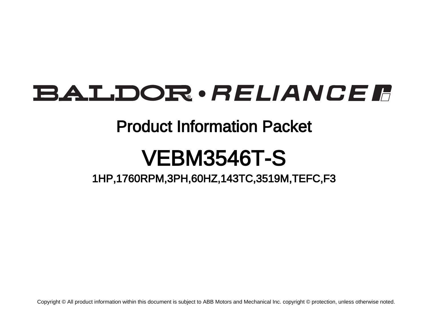# BALDOR · RELIANCE F

# Product Information Packet

# VEBM3546T-S

1HP,1760RPM,3PH,60HZ,143TC,3519M,TEFC,F3

Copyright © All product information within this document is subject to ABB Motors and Mechanical Inc. copyright © protection, unless otherwise noted.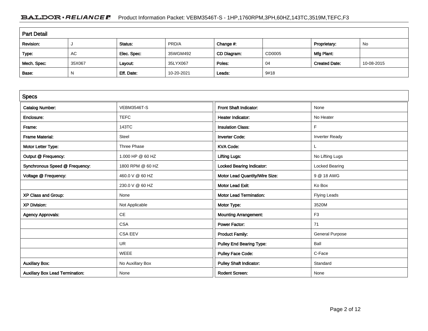# BALDOR · RELIANCE F Product Information Packet: VEBM3546T-S - 1HP,1760RPM,3PH,60HZ,143TC,3519M,TEFC,F3

| <b>Part Detail</b> |        |             |            |             |        |                      |            |  |
|--------------------|--------|-------------|------------|-------------|--------|----------------------|------------|--|
| Revision:          |        | Status:     | PRD/A      | Change #:   |        | Proprietary:         | No         |  |
| Type:              | AC     | Elec. Spec: | 35WGM492   | CD Diagram: | CD0005 | Mfg Plant:           |            |  |
| Mech. Spec:        | 35X067 | Layout:     | 35LYX067   | Poles:      | 04     | <b>Created Date:</b> | 10-08-2015 |  |
| Base:              | N      | Eff. Date:  | 10-20-2021 | Leads:      | 9#18   |                      |            |  |

| <b>Specs</b>                           |                    |                                  |                        |
|----------------------------------------|--------------------|----------------------------------|------------------------|
| <b>Catalog Number:</b>                 | <b>VEBM3546T-S</b> | Front Shaft Indicator:           | None                   |
| Enclosure:                             | <b>TEFC</b>        | <b>Heater Indicator:</b>         | No Heater              |
| Frame:                                 | 143TC              | <b>Insulation Class:</b>         | F                      |
| <b>Frame Material:</b>                 | Steel              | <b>Inverter Code:</b>            | <b>Inverter Ready</b>  |
| Motor Letter Type:                     | Three Phase        | <b>KVA Code:</b>                 | L                      |
| Output @ Frequency:                    | 1.000 HP @ 60 HZ   | <b>Lifting Lugs:</b>             | No Lifting Lugs        |
| Synchronous Speed @ Frequency:         | 1800 RPM @ 60 HZ   | <b>Locked Bearing Indicator:</b> | Locked Bearing         |
| Voltage @ Frequency:                   | 460.0 V @ 60 HZ    | Motor Lead Quantity/Wire Size:   | 9 @ 18 AWG             |
|                                        | 230.0 V @ 60 HZ    | <b>Motor Lead Exit:</b>          | Ko Box                 |
| XP Class and Group:                    | None               | <b>Motor Lead Termination:</b>   | <b>Flying Leads</b>    |
| <b>XP Division:</b>                    | Not Applicable     | Motor Type:                      | 3520M                  |
| <b>Agency Approvals:</b>               | CE                 | <b>Mounting Arrangement:</b>     | F <sub>3</sub>         |
|                                        | <b>CSA</b>         | <b>Power Factor:</b>             | 71                     |
|                                        | <b>CSA EEV</b>     | <b>Product Family:</b>           | <b>General Purpose</b> |
|                                        | <b>UR</b>          | <b>Pulley End Bearing Type:</b>  | Ball                   |
|                                        | <b>WEEE</b>        | <b>Pulley Face Code:</b>         | C-Face                 |
| <b>Auxillary Box:</b>                  | No Auxillary Box   | <b>Pulley Shaft Indicator:</b>   | Standard               |
| <b>Auxillary Box Lead Termination:</b> | None               | <b>Rodent Screen:</b>            | None                   |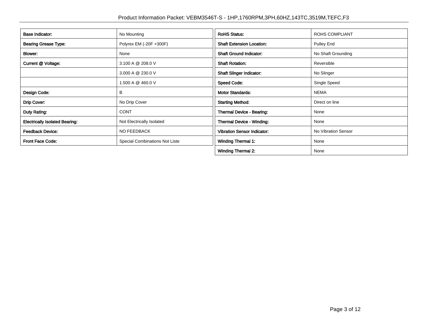| <b>Base Indicator:</b>                | No Mounting                    | <b>RoHS Status:</b>                | <b>ROHS COMPLIANT</b> |
|---------------------------------------|--------------------------------|------------------------------------|-----------------------|
| <b>Bearing Grease Type:</b>           | Polyrex EM (-20F +300F)        | <b>Shaft Extension Location:</b>   | Pulley End            |
| Blower:                               | None                           | <b>Shaft Ground Indicator:</b>     | No Shaft Grounding    |
| Current @ Voltage:                    | 3.100 A @ 208.0 V              | <b>Shaft Rotation:</b>             | Reversible            |
|                                       | 3.000 A @ 230.0 V              | <b>Shaft Slinger Indicator:</b>    | No Slinger            |
|                                       | 1.500 A @ 460.0 V              | <b>Speed Code:</b>                 | Single Speed          |
| Design Code:                          | В                              | <b>Motor Standards:</b>            | <b>NEMA</b>           |
| Drip Cover:                           | No Drip Cover                  | <b>Starting Method:</b>            | Direct on line        |
| Duty Rating:                          | <b>CONT</b>                    | <b>Thermal Device - Bearing:</b>   | None                  |
| <b>Electrically Isolated Bearing:</b> | Not Electrically Isolated      | Thermal Device - Winding:          | None                  |
| <b>Feedback Device:</b>               | NO FEEDBACK                    | <b>Vibration Sensor Indicator:</b> | No Vibration Sensor   |
| <b>Front Face Code:</b>               | Special Combinations Not Liste | Winding Thermal 1:                 | None                  |
|                                       |                                | <b>Winding Thermal 2:</b>          | None                  |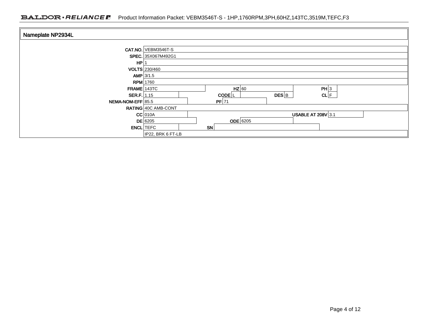## BALDOR · RELIANCE F Product Information Packet: VEBM3546T-S - 1HP,1760RPM,3PH,60HZ,143TC,3519M,TEFC,F3

| Nameplate NP2934L |                     |           |                     |           |                           |      |  |  |
|-------------------|---------------------|-----------|---------------------|-----------|---------------------------|------|--|--|
|                   |                     |           |                     |           |                           |      |  |  |
|                   | CAT.NO. VEBM3546T-S |           |                     |           |                           |      |  |  |
|                   | SPEC. 35X067M492G1  |           |                     |           |                           |      |  |  |
| HP                |                     |           |                     |           |                           |      |  |  |
|                   | VOLTS 230/460       |           |                     |           |                           |      |  |  |
|                   | AMP $3/1.5$         |           |                     |           |                           |      |  |  |
|                   | $RPM$ 1760          |           |                     |           |                           |      |  |  |
| $FRAME$ 143TC     |                     |           | $HZ$ 60             |           |                           | PH 3 |  |  |
| SER.F.   1.15     |                     |           | $CODE$ <sub>L</sub> | $DES$ $B$ |                           | CL F |  |  |
| NEMA-NOM-EFF 85.5 |                     |           | $PF$ 71             |           |                           |      |  |  |
|                   | RATING 40C AMB-CONT |           |                     |           |                           |      |  |  |
|                   | $CC$ 010A           |           |                     |           | <b>USABLE AT 208V 3.1</b> |      |  |  |
|                   | $DE$ 6205           |           | ODE 6205            |           |                           |      |  |  |
| <b>ENCL</b> TEFC  |                     | <b>SN</b> |                     |           |                           |      |  |  |
|                   | IP22, BRK 6 FT-LB   |           |                     |           |                           |      |  |  |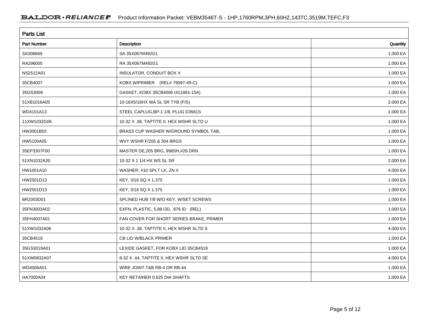| <b>Parts List</b>  |                                          |          |
|--------------------|------------------------------------------|----------|
| <b>Part Number</b> | Description                              | Quantity |
| SA308669           | SA 35X067M492G1                          | 1.000 EA |
| RA296005           | RA 35X067M492G1                          | 1.000 EA |
| NS2512A01          | INSULATOR, CONDUIT BOX X                 | 1.000 EA |
| 35CB4007           | KOBX, W/PRIMER (REL# 79097-49-C)         | 1.000 EA |
| 35GS3009           | GASKET, KOBX 35CB4006 (411881-15A)       | 1.000 EA |
| 51XB1016A05        | 10-16X5/16HX WA SL SR TYB (F/S)          | 2.000 EA |
| WD4101A13          | STEEL CAPLUG, BP-1 1/8, PLUG D3561S      | 1.000 EA |
| 11XW1032G06        | 10-32 X .38, TAPTITE II, HEX WSHR SLTD U | 1.000 EA |
| HW3001B02          | BRASS CUP WASHER W/GROUND SYMBOL TAB,    | 1.000 EA |
| HW5100A05          | WVY WSHR F/205 & 304 BRGS                | 1.000 EA |
| 35EP3307F00        | MASTER DE, 205 BRG, 998SH, #26 DRN       | 1.000 EA |
| 51XN1032A20        | 10-32 X 1 1/4 HX WS SL SR                | 2.000 EA |
| HW1001A10          | WASHER, #10 SPLT LK, ZN X                | 4.000 EA |
| HW2501D13          | KEY, 3/16 SQ X 1.375                     | 1.000 EA |
| HW2501D13          | KEY, 3/16 SQ X 1.375                     | 1.000 EA |
| BR2003D01          | SPLINED HUB 7/8 W/O KEY, W/SET SCREWS    | 1.000 EA |
| 35FN3003A02        | EXFN, PLASTIC, 5.88 OD, .876 ID (REL)    | 1.000 EA |
| 35FH4007A01        | FAN COVER FOR SHORT SERIES BRAKE, PRIMER | 1.000 EA |
| 51XW1032A06        | 10-32 X .38, TAPTITE II, HEX WSHR SLTD S | 4.000 EA |
| 35CB4519           | CB LID W/BLACK PRIMER                    | 1.000 EA |
| 35GS3019A01        | LEXIDE GASKET, FOR KOBX LID 35CB4519     | 1.000 EA |
| 51XW0832A07        | 8-32 X .44, TAPTITE II, HEX WSHR SLTD SE | 4.000 EA |
| WD4006A01          | WIRE JOINT, T&B RB-4 OR RB-44            | 1.000 EA |
| HA7000A04          | KEY RETAINER 0.625 DIA SHAFTS            | 1.000 EA |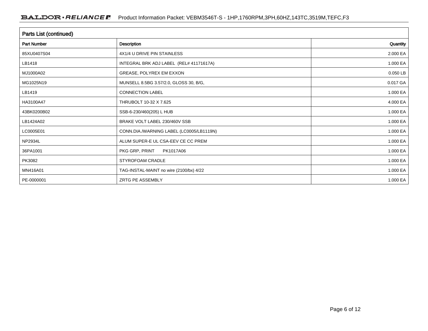| Parts List (continued) |                                          |          |  |  |  |  |
|------------------------|------------------------------------------|----------|--|--|--|--|
| <b>Part Number</b>     | Description                              | Quantity |  |  |  |  |
| 85XU0407S04            | 4X1/4 U DRIVE PIN STAINLESS              | 2.000 EA |  |  |  |  |
| LB1418                 | INTEGRAL BRK ADJ LABEL (REL# 41171617A)  | 1.000 EA |  |  |  |  |
| MJ1000A02              | GREASE, POLYREX EM EXXON                 | 0.050 LB |  |  |  |  |
| MG1025N19              | MUNSELL 8.5BG 3.57/2.0, GLOSS 30, B/G,   | 0.017 GA |  |  |  |  |
| LB1419                 | CONNECTION LABEL                         | 1.000 EA |  |  |  |  |
| HA3100A47              | THRUBOLT 10-32 X 7.625                   | 4.000 EA |  |  |  |  |
| 43BK0200B02            | SSB-6-230/460(205) L HUB                 | 1.000 EA |  |  |  |  |
| LB1424A02              | BRAKE VOLT LABEL 230/460V SSB            | 1.000 EA |  |  |  |  |
| LC0005E01              | CONN.DIA./WARNING LABEL (LC0005/LB1119N) | 1.000 EA |  |  |  |  |
| <b>NP2934L</b>         | ALUM SUPER-E UL CSA-EEV CE CC PREM       | 1.000 EA |  |  |  |  |
| 36PA1001               | PKG GRP, PRINT<br>PK1017A06              | 1.000 EA |  |  |  |  |
| PK3082                 | STYROFOAM CRADLE                         | 1.000 EA |  |  |  |  |
| MN416A01               | TAG-INSTAL-MAINT no wire (2100/bx) 4/22  | 1.000 EA |  |  |  |  |
| PE-0000001             | ZRTG PE ASSEMBLY                         | 1.000 EA |  |  |  |  |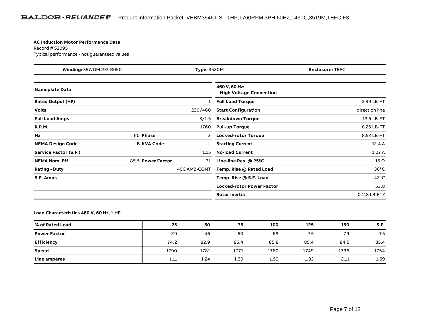#### **AC Induction Motor Performance Data**

Record # 53095Typical performance - not guaranteed values

| Winding: 35WGM492-R050<br><b>Type: 3520M</b> |                   |              | <b>Enclosure: TEFC</b>                          |                |
|----------------------------------------------|-------------------|--------------|-------------------------------------------------|----------------|
| <b>Nameplate Data</b>                        |                   |              | 460 V, 60 Hz:<br><b>High Voltage Connection</b> |                |
| <b>Rated Output (HP)</b>                     |                   | 1            | <b>Full Load Torque</b>                         | 2.99 LB-FT     |
| <b>Volts</b>                                 |                   | 230/460      | <b>Start Configuration</b>                      | direct on line |
| <b>Full Load Amps</b>                        |                   | 3/1.5        | <b>Breakdown Torque</b>                         | 13.5 LB-FT     |
| <b>R.P.M.</b>                                |                   | 1760         | <b>Pull-up Torque</b>                           | 8.25 LB-FT     |
| Hz                                           | 60 Phase          | 3            | <b>Locked-rotor Torque</b>                      | 8.52 LB-FT     |
| <b>NEMA Design Code</b>                      | <b>B KVA Code</b> |              | <b>Starting Current</b>                         | 12.4A          |
| <b>Service Factor (S.F.)</b>                 |                   | 1.15         | <b>No-load Current</b>                          | 1.07 A         |
| <b>NEMA Nom. Eff.</b>                        | 85.5 Power Factor | 71           | Line-line Res. @ 25°C                           | $15 \Omega$    |
| <b>Rating - Duty</b>                         |                   | 40C AMB-CONT | Temp. Rise @ Rated Load                         | $36^{\circ}$ C |
| S.F. Amps                                    |                   |              | Temp. Rise @ S.F. Load                          | $42^{\circ}$ C |
|                                              |                   |              | <b>Locked-rotor Power Factor</b>                | 53.8           |
|                                              |                   |              | Rotor inertia                                   | 0.118 LB-FT2   |

### **Load Characteristics 460 V, 60 Hz, 1 HP**

| % of Rated Load     | 25   | 50   | 75   | 100  | 125  | 150  | S.F. |
|---------------------|------|------|------|------|------|------|------|
| <b>Power Factor</b> | 29   | 46   | 60   | 69   | 75   | 79   | 75   |
| Efficiency          | 74.2 | 82.9 | 85.4 | 85.8 | 85.4 | 84.5 | 85.4 |
| Speed               | 1790 | 1781 | 1771 | 1760 | 1749 | 1736 | 1754 |
| Line amperes        | 1.11 | 1.24 | 1.39 | 1.59 | 1.83 | 2.11 | 1.69 |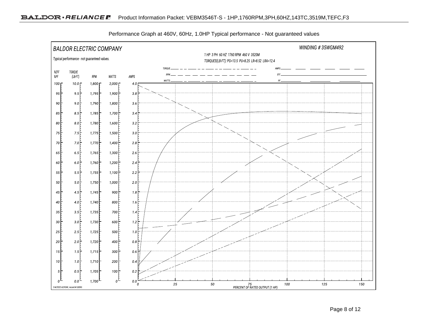

Performance Graph at 460V, 60Hz, 1.0HP Typical performance - Not guaranteed values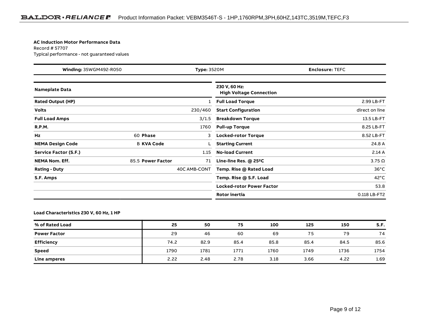#### **AC Induction Motor Performance Data**

Record # 57707Typical performance - not guaranteed values

| Winding: 35WGM492-R050<br><b>Type: 3520M</b> |                   |              | <b>Enclosure: TEFC</b>                          |                |
|----------------------------------------------|-------------------|--------------|-------------------------------------------------|----------------|
| <b>Nameplate Data</b>                        |                   |              | 230 V, 60 Hz:<br><b>High Voltage Connection</b> |                |
| <b>Rated Output (HP)</b>                     |                   | 1            | <b>Full Load Torque</b>                         | 2.99 LB-FT     |
| <b>Volts</b>                                 |                   | 230/460      | <b>Start Configuration</b>                      | direct on line |
| <b>Full Load Amps</b>                        |                   | 3/1.5        | <b>Breakdown Torque</b>                         | 13.5 LB-FT     |
| <b>R.P.M.</b>                                |                   | 1760         | <b>Pull-up Torque</b>                           | 8.25 LB-FT     |
| Hz                                           | 60 Phase          | 3            | <b>Locked-rotor Torque</b>                      | 8.52 LB-FT     |
| <b>NEMA Design Code</b>                      | <b>B KVA Code</b> |              | <b>Starting Current</b>                         | 24.8 A         |
| Service Factor (S.F.)                        |                   | 1.15         | <b>No-load Current</b>                          | 2.14A          |
| <b>NEMA Nom. Eff.</b>                        | 85.5 Power Factor | 71           | Line-line Res. $@$ 25 <sup>o</sup> C            | $3.75\ \Omega$ |
| <b>Rating - Duty</b>                         |                   | 40C AMB-CONT | Temp. Rise @ Rated Load                         | $36^{\circ}$ C |
| S.F. Amps                                    |                   |              | Temp. Rise @ S.F. Load                          | $42^{\circ}$ C |
|                                              |                   |              | <b>Locked-rotor Power Factor</b>                | 53.8           |
|                                              |                   |              | Rotor inertia                                   | 0.118 LB-FT2   |

### **Load Characteristics 230 V, 60 Hz, 1 HP**

| % of Rated Load     | 25   | 50   | 75   | 100  | 125  | 150  | S.F. |
|---------------------|------|------|------|------|------|------|------|
| <b>Power Factor</b> | 29   | 46   | 60   | 69   | 75   | 79   | 74   |
| <b>Efficiency</b>   | 74.2 | 82.9 | 85.4 | 85.8 | 85.4 | 84.5 | 85.6 |
| <b>Speed</b>        | 1790 | 1781 | 1771 | 1760 | 1749 | 1736 | 1754 |
| Line amperes        | 2.22 | 2.48 | 2.78 | 3.18 | 3.66 | 4.22 | 1.69 |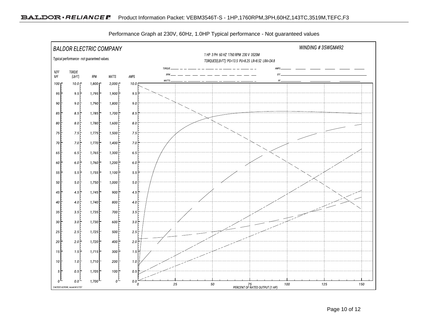

Performance Graph at 230V, 60Hz, 1.0HP Typical performance - Not guaranteed values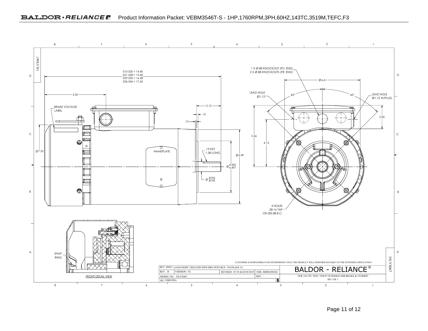